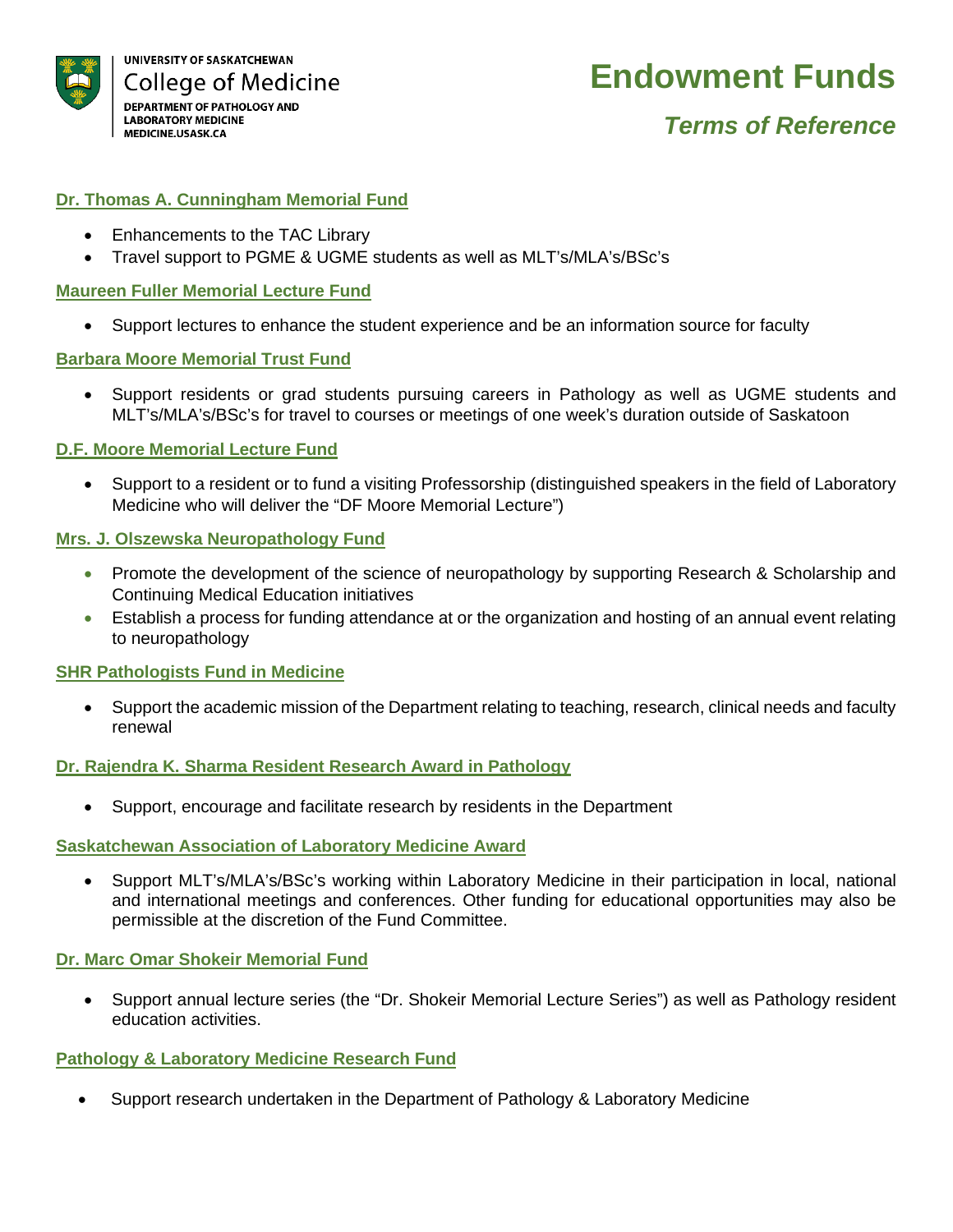

## **Endowment Funds**

### *Terms of Reference*

#### **Dr. Thomas A. Cunningham Memorial Fund**

- Enhancements to the TAC Library
- Travel support to PGME & UGME students as well as MLT's/MLA's/BSc's

#### **Maureen Fuller Memorial Lecture Fund**

• Support lectures to enhance the student experience and be an information source for faculty

#### **Barbara Moore Memorial Trust Fund**

• Support residents or grad students pursuing careers in Pathology as well as UGME students and MLT's/MLA's/BSc's for travel to courses or meetings of one week's duration outside of Saskatoon

#### **D.F. Moore Memorial Lecture Fund**

• Support to a resident or to fund a visiting Professorship (distinguished speakers in the field of Laboratory Medicine who will deliver the "DF Moore Memorial Lecture")

#### **Mrs. J. Olszewska Neuropathology Fund**

- Promote the development of the science of neuropathology by supporting Research & Scholarship and Continuing Medical Education initiatives
- Establish a process for funding attendance at or the organization and hosting of an annual event relating to neuropathology

#### **SHR Pathologists Fund in Medicine**

• Support the academic mission of the Department relating to teaching, research, clinical needs and faculty renewal

#### **Dr. Rajendra K. Sharma Resident Research Award in Pathology**

• Support, encourage and facilitate research by residents in the Department

#### **Saskatchewan Association of Laboratory Medicine Award**

• Support MLT's/MLA's/BSc's working within Laboratory Medicine in their participation in local, national and international meetings and conferences. Other funding for educational opportunities may also be permissible at the discretion of the Fund Committee.

#### **Dr. Marc Omar Shokeir Memorial Fund**

• Support annual lecture series (the "Dr. Shokeir Memorial Lecture Series") as well as Pathology resident education activities.

#### **Pathology & Laboratory Medicine Research Fund**

• Support research undertaken in the Department of Pathology & Laboratory Medicine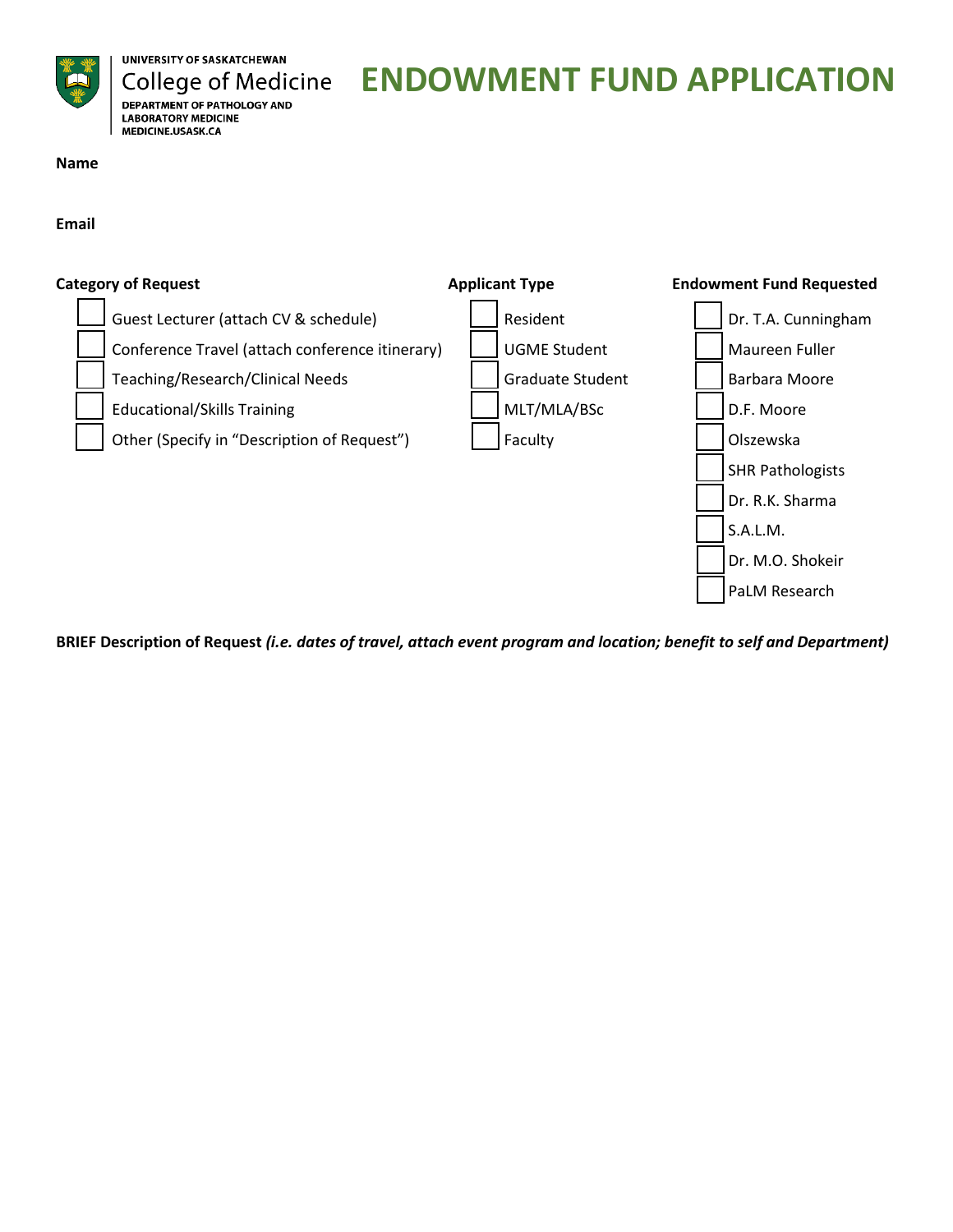

UNIVERSITY OF SASKATCHEWAN **College of Medicine DEPARTMENT OF PATHOLOGY AND LABORATORY MEDICINE** MEDICINE.USASK.CA

# **ENDOWMENT FUND APPLICATION**

**Name**

**Email**



**BRIEF Description of Request** *(i.e. dates of travel, attach event program and location; benefit to self and Department)*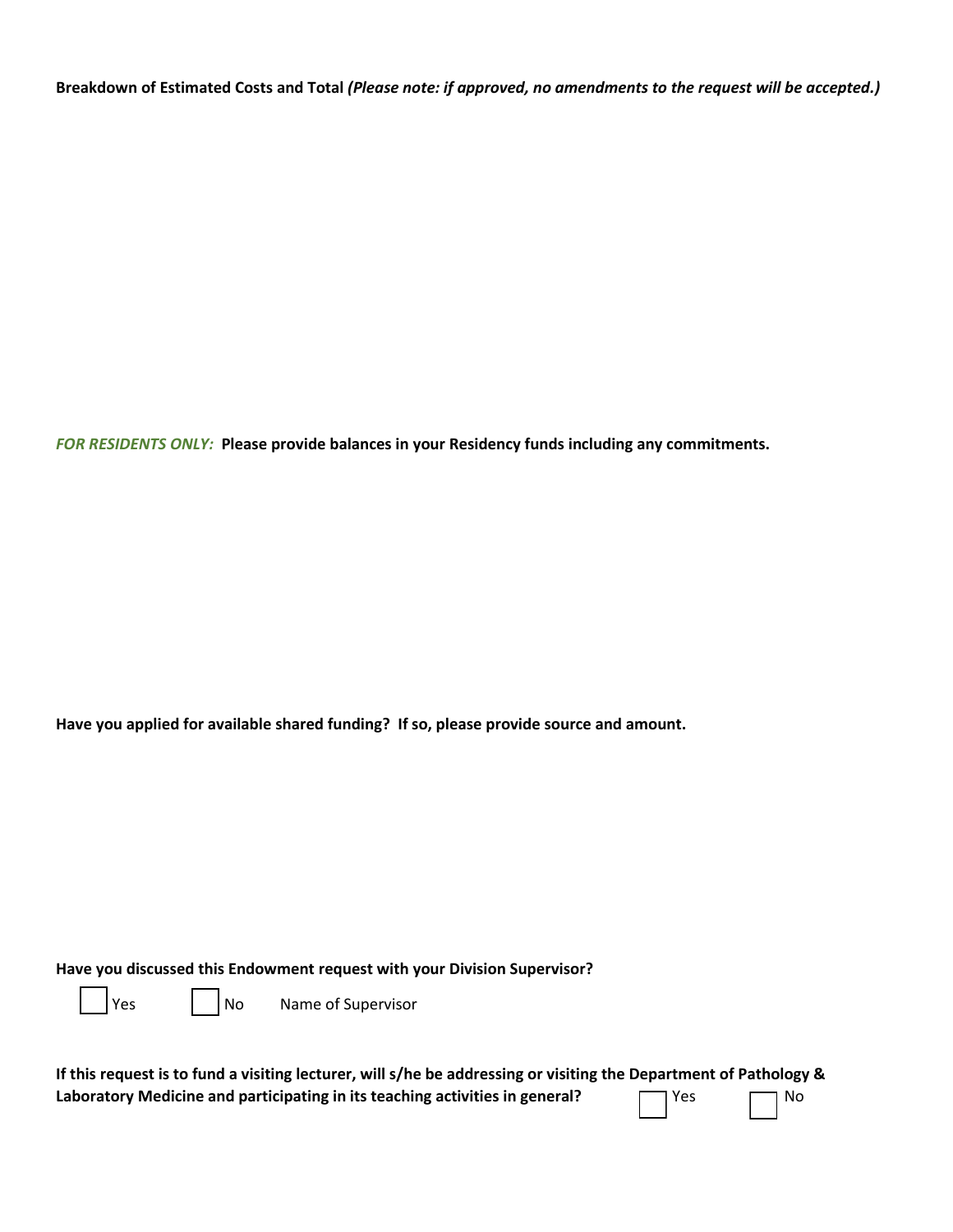**Breakdown of Estimated Costs and Total** *(Please note: if approved, no amendments to the request will be accepted.)*

*FOR RESIDENTS ONLY:* **Please provide balances in your Residency funds including any commitments.**

**Have you applied for available shared funding? If so, please provide source and amount.**

**Have you discussed this Endowment request with your Division Supervisor?**

Yes No Name of Supervisor

| If this request is to fund a visiting lecturer, will s/he be addressing or visiting the Department of Pathology & |       |           |
|-------------------------------------------------------------------------------------------------------------------|-------|-----------|
| Laboratory Medicine and participating in its teaching activities in general?                                      | T Yes | $\Box$ No |